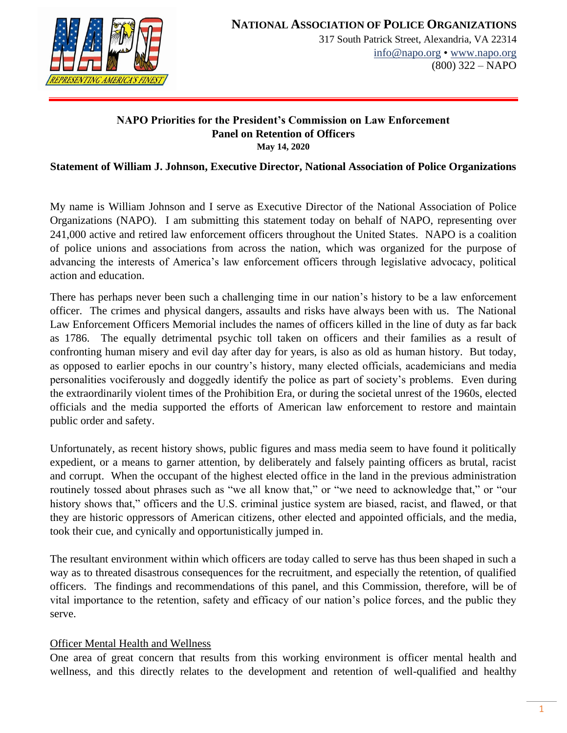

#### **NAPO Priorities for the President's Commission on Law Enforcement Panel on Retention of Officers May 14, 2020**

# **Statement of William J. Johnson, Executive Director, National Association of Police Organizations**

My name is William Johnson and I serve as Executive Director of the National Association of Police Organizations (NAPO). I am submitting this statement today on behalf of NAPO, representing over 241,000 active and retired law enforcement officers throughout the United States. NAPO is a coalition of police unions and associations from across the nation, which was organized for the purpose of advancing the interests of America's law enforcement officers through legislative advocacy, political action and education.

There has perhaps never been such a challenging time in our nation's history to be a law enforcement officer. The crimes and physical dangers, assaults and risks have always been with us. The National Law Enforcement Officers Memorial includes the names of officers killed in the line of duty as far back as 1786. The equally detrimental psychic toll taken on officers and their families as a result of confronting human misery and evil day after day for years, is also as old as human history. But today, as opposed to earlier epochs in our country's history, many elected officials, academicians and media personalities vociferously and doggedly identify the police as part of society's problems. Even during the extraordinarily violent times of the Prohibition Era, or during the societal unrest of the 1960s, elected officials and the media supported the efforts of American law enforcement to restore and maintain public order and safety.

Unfortunately, as recent history shows, public figures and mass media seem to have found it politically expedient, or a means to garner attention, by deliberately and falsely painting officers as brutal, racist and corrupt. When the occupant of the highest elected office in the land in the previous administration routinely tossed about phrases such as "we all know that," or "we need to acknowledge that," or "our history shows that," officers and the U.S. criminal justice system are biased, racist, and flawed, or that they are historic oppressors of American citizens, other elected and appointed officials, and the media, took their cue, and cynically and opportunistically jumped in.

The resultant environment within which officers are today called to serve has thus been shaped in such a way as to threated disastrous consequences for the recruitment, and especially the retention, of qualified officers. The findings and recommendations of this panel, and this Commission, therefore, will be of vital importance to the retention, safety and efficacy of our nation's police forces, and the public they serve.

# Officer Mental Health and Wellness

One area of great concern that results from this working environment is officer mental health and wellness, and this directly relates to the development and retention of well-qualified and healthy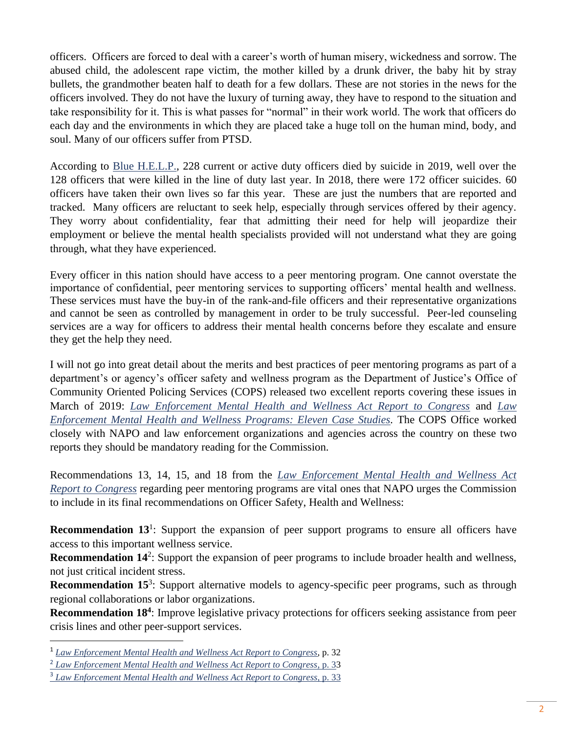officers. Officers are forced to deal with a career's worth of human misery, wickedness and sorrow. The abused child, the adolescent rape victim, the mother killed by a drunk driver, the baby hit by stray bullets, the grandmother beaten half to death for a few dollars. These are not stories in the news for the officers involved. They do not have the luxury of turning away, they have to respond to the situation and take responsibility for it. This is what passes for "normal" in their work world. The work that officers do each day and the environments in which they are placed take a huge toll on the human mind, body, and soul. Many of our officers suffer from PTSD.

According to [Blue H.E.L.P.,](https://bluehelp.org/) 228 current or active duty officers died by suicide in 2019, well over the 128 officers that were killed in the line of duty last year. In 2018, there were 172 officer suicides. 60 officers have taken their own lives so far this year. These are just the numbers that are reported and tracked. Many officers are reluctant to seek help, especially through services offered by their agency. They worry about confidentiality, fear that admitting their need for help will jeopardize their employment or believe the mental health specialists provided will not understand what they are going through, what they have experienced.

Every officer in this nation should have access to a peer mentoring program. One cannot overstate the importance of confidential, peer mentoring services to supporting officers' mental health and wellness. These services must have the buy-in of the rank-and-file officers and their representative organizations and cannot be seen as controlled by management in order to be truly successful. Peer-led counseling services are a way for officers to address their mental health concerns before they escalate and ensure they get the help they need.

I will not go into great detail about the merits and best practices of peer mentoring programs as part of a department's or agency's officer safety and wellness program as the Department of Justice's Office of Community Oriented Policing Services (COPS) released two excellent reports covering these issues in March of 2019: *[Law Enforcement Mental Health and Wellness Act Report to Congress](https://cops.usdoj.gov/RIC/Publications/cops-p370-pub.pdf)* and *[Law](https://cops.usdoj.gov/RIC/Publications/cops-p371-pub.pdf)  [Enforcement Mental Health and Wellness Programs: Eleven Case Studies.](https://cops.usdoj.gov/RIC/Publications/cops-p371-pub.pdf)* The COPS Office worked closely with NAPO and law enforcement organizations and agencies across the country on these two reports they should be mandatory reading for the Commission.

Recommendations 13, 14, 15, and 18 from the *[Law Enforcement Mental Health and Wellness Act](https://cops.usdoj.gov/RIC/Publications/cops-p370-pub.pdf)  [Report to Congress](https://cops.usdoj.gov/RIC/Publications/cops-p370-pub.pdf)* regarding peer mentoring programs are vital ones that NAPO urges the Commission to include in its final recommendations on Officer Safety, Health and Wellness:

**Recommendation 13<sup>1</sup>**: Support the expansion of peer support programs to ensure all officers have access to this important wellness service.

**Recommendation 14<sup>2</sup>:** Support the expansion of peer programs to include broader health and wellness, not just critical incident stress.

**Recommendation 15<sup>3</sup>:** Support alternative models to agency-specific peer programs, such as through regional collaborations or labor organizations.

**Recommendation 18<sup>4</sup>**: Improve legislative privacy protections for officers seeking assistance from peer crisis lines and other peer-support services.

<sup>1</sup> *[Law Enforcement Mental Health and Wellness Act Report to Congress](https://cops.usdoj.gov/RIC/Publications/cops-p370-pub.pdf)*, p. 32

<sup>2</sup> *[Law Enforcement Mental Health and Wellness Act Report to Congress](https://cops.usdoj.gov/RIC/Publications/cops-p370-pub.pdf)*, p. 33

<sup>3</sup> *[Law Enforcement Mental Health and](https://cops.usdoj.gov/RIC/Publications/cops-p370-pub.pdf) Wellness Act Report to Congress*, p. 33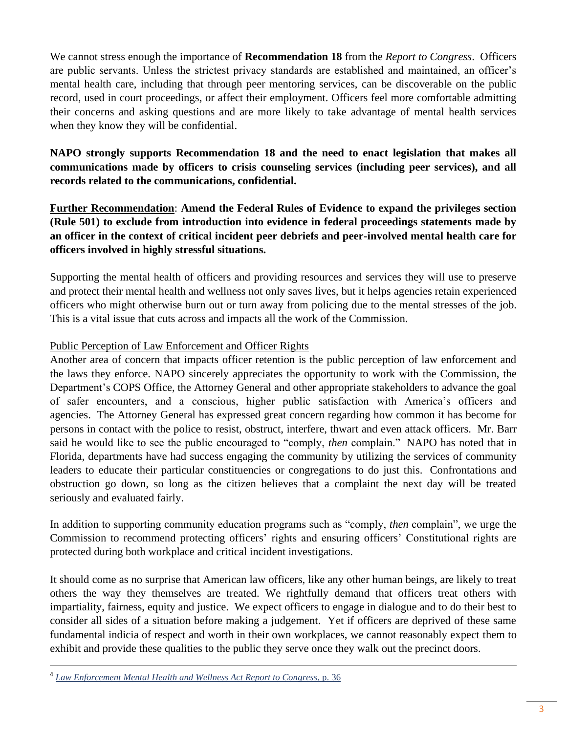We cannot stress enough the importance of **Recommendation 18** from the *Report to Congress*. Officers are public servants. Unless the strictest privacy standards are established and maintained, an officer's mental health care, including that through peer mentoring services, can be discoverable on the public record, used in court proceedings, or affect their employment. Officers feel more comfortable admitting their concerns and asking questions and are more likely to take advantage of mental health services when they know they will be confidential.

# **NAPO strongly supports Recommendation 18 and the need to enact legislation that makes all communications made by officers to crisis counseling services (including peer services), and all records related to the communications, confidential.**

**Further Recommendation**: **Amend the Federal Rules of Evidence to expand the privileges section (Rule 501) to exclude from introduction into evidence in federal proceedings statements made by an officer in the context of critical incident peer debriefs and peer-involved mental health care for officers involved in highly stressful situations.**

Supporting the mental health of officers and providing resources and services they will use to preserve and protect their mental health and wellness not only saves lives, but it helps agencies retain experienced officers who might otherwise burn out or turn away from policing due to the mental stresses of the job. This is a vital issue that cuts across and impacts all the work of the Commission.

# Public Perception of Law Enforcement and Officer Rights

Another area of concern that impacts officer retention is the public perception of law enforcement and the laws they enforce. NAPO sincerely appreciates the opportunity to work with the Commission, the Department's COPS Office, the Attorney General and other appropriate stakeholders to advance the goal of safer encounters, and a conscious, higher public satisfaction with America's officers and agencies. The Attorney General has expressed great concern regarding how common it has become for persons in contact with the police to resist, obstruct, interfere, thwart and even attack officers. Mr. Barr said he would like to see the public encouraged to "comply, *then* complain." NAPO has noted that in Florida, departments have had success engaging the community by utilizing the services of community leaders to educate their particular constituencies or congregations to do just this. Confrontations and obstruction go down, so long as the citizen believes that a complaint the next day will be treated seriously and evaluated fairly.

In addition to supporting community education programs such as "comply, *then* complain", we urge the Commission to recommend protecting officers' rights and ensuring officers' Constitutional rights are protected during both workplace and critical incident investigations.

It should come as no surprise that American law officers, like any other human beings, are likely to treat others the way they themselves are treated. We rightfully demand that officers treat others with impartiality, fairness, equity and justice. We expect officers to engage in dialogue and to do their best to consider all sides of a situation before making a judgement. Yet if officers are deprived of these same fundamental indicia of respect and worth in their own workplaces, we cannot reasonably expect them to exhibit and provide these qualities to the public they serve once they walk out the precinct doors.

<sup>4</sup> *[Law Enforcement Mental Health and Wellness Act Report to Congress,](https://cops.usdoj.gov/RIC/Publications/cops-p370-pub.pdf)* p. 36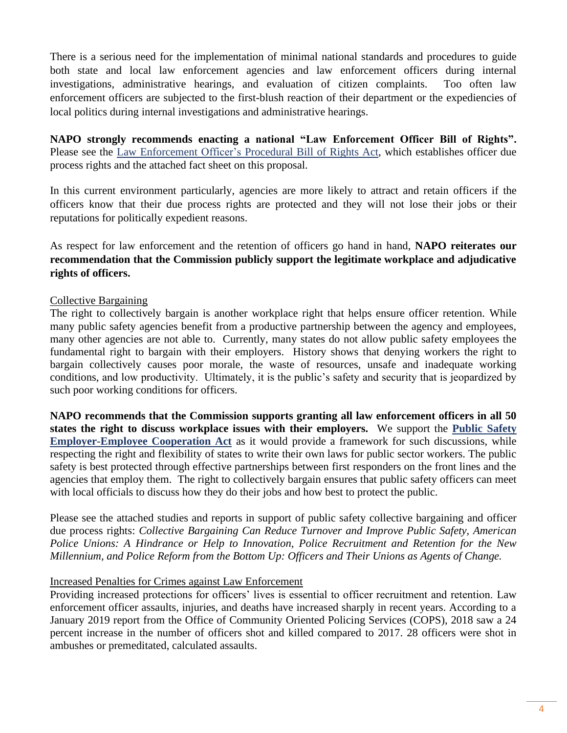There is a serious need for the implementation of minimal national standards and procedures to guide both state and local law enforcement agencies and law enforcement officers during internal investigations, administrative hearings, and evaluation of citizen complaints. Too often law enforcement officers are subjected to the first-blush reaction of their department or the expediencies of local politics during internal investigations and administrative hearings.

**NAPO strongly recommends enacting a national "Law Enforcement Officer Bill of Rights".**  Please see the Law Enforcement [Officer's Procedural](https://www.congress.gov/111/bills/hr1972/BILLS-111hr1972ih.pdf) Bill of Rights Act, which establishes officer due process rights and the attached fact sheet on this proposal.

In this current environment particularly, agencies are more likely to attract and retain officers if the officers know that their due process rights are protected and they will not lose their jobs or their reputations for politically expedient reasons.

As respect for law enforcement and the retention of officers go hand in hand, **NAPO reiterates our recommendation that the Commission publicly support the legitimate workplace and adjudicative rights of officers.** 

# Collective Bargaining

The right to collectively bargain is another workplace right that helps ensure officer retention. While many public safety agencies benefit from a productive partnership between the agency and employees, many other agencies are not able to. Currently, many states do not allow public safety employees the fundamental right to bargain with their employers. History shows that denying workers the right to bargain collectively causes poor morale, the waste of resources, unsafe and inadequate working conditions, and low productivity. Ultimately, it is the public's safety and security that is jeopardized by such poor working conditions for officers.

**NAPO recommends that the Commission supports granting all law enforcement officers in all 50 states the right to discuss workplace issues with their employers.** We support the **[Public Safety](https://www.congress.gov/116/bills/hr1154/BILLS-116hr1154ih.pdf)  [Employer-Employee Cooperation Act](https://www.congress.gov/116/bills/hr1154/BILLS-116hr1154ih.pdf)** as it would provide a framework for such discussions, while respecting the right and flexibility of states to write their own laws for public sector workers. The public safety is best protected through effective partnerships between first responders on the front lines and the agencies that employ them. The right to collectively bargain ensures that public safety officers can meet with local officials to discuss how they do their jobs and how best to protect the public.

Please see the attached studies and reports in support of public safety collective bargaining and officer due process rights: *Collective Bargaining Can Reduce Turnover and Improve Public Safety, American Police Unions: A Hindrance or Help to Innovation, Police Recruitment and Retention for the New Millennium, and Police Reform from the Bottom Up: Officers and Their Unions as Agents of Change.*

#### Increased Penalties for Crimes against Law Enforcement

Providing increased protections for officers' lives is essential to officer recruitment and retention. Law enforcement officer assaults, injuries, and deaths have increased sharply in recent years. According to a January 2019 report from the Office of Community Oriented Policing Services (COPS), 2018 saw a 24 percent increase in the number of officers shot and killed compared to 2017. 28 officers were shot in ambushes or premeditated, calculated assaults.